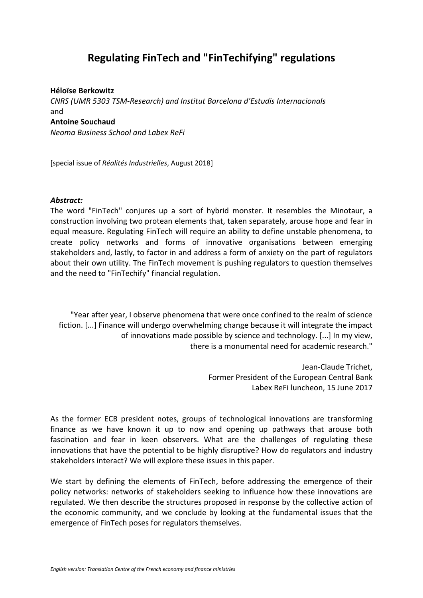# **Regulating FinTech and "FinTechifying" regulations**

#### **Héloïse Berkowitz**

*CNRS (UMR 5303 TSM-Research) and Institut Barcelona d'Estudis Internacionals* and **Antoine Souchaud** *Neoma Business School and Labex ReFi*

[special issue of *Réalités Industrielles*, August 2018]

### *Abstract:*

The word "FinTech" conjures up a sort of hybrid monster. It resembles the Minotaur, a construction involving two protean elements that, taken separately, arouse hope and fear in equal measure. Regulating FinTech will require an ability to define unstable phenomena, to create policy networks and forms of innovative organisations between emerging stakeholders and, lastly, to factor in and address a form of anxiety on the part of regulators about their own utility. The FinTech movement is pushing regulators to question themselves and the need to "FinTechify" financial regulation.

"Year after year, I observe phenomena that were once confined to the realm of science fiction. [...] Finance will undergo overwhelming change because it will integrate the impact of innovations made possible by science and technology. [...] In my view, there is a monumental need for academic research."

> Jean-Claude Trichet, Former President of the European Central Bank Labex ReFi luncheon, 15 June 2017

As the former ECB president notes, groups of technological innovations are transforming finance as we have known it up to now and opening up pathways that arouse both fascination and fear in keen observers. What are the challenges of regulating these innovations that have the potential to be highly disruptive? How do regulators and industry stakeholders interact? We will explore these issues in this paper.

We start by defining the elements of FinTech, before addressing the emergence of their policy networks: networks of stakeholders seeking to influence how these innovations are regulated. We then describe the structures proposed in response by the collective action of the economic community, and we conclude by looking at the fundamental issues that the emergence of FinTech poses for regulators themselves.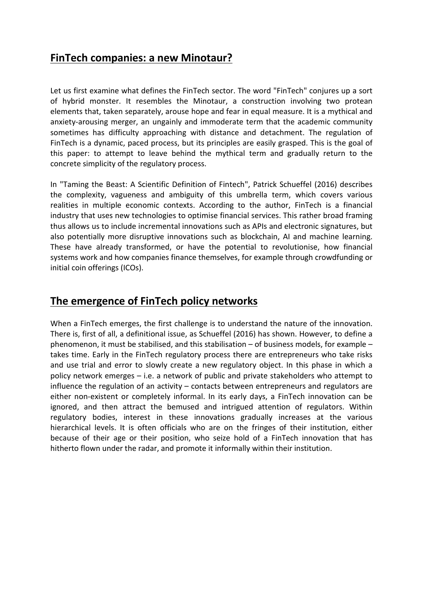# **FinTech companies: a new Minotaur?**

Let us first examine what defines the FinTech sector. The word "FinTech" conjures up a sort of hybrid monster. It resembles the Minotaur, a construction involving two protean elements that, taken separately, arouse hope and fear in equal measure. It is a mythical and anxiety-arousing merger, an ungainly and immoderate term that the academic community sometimes has difficulty approaching with distance and detachment. The regulation of FinTech is a dynamic, paced process, but its principles are easily grasped. This is the goal of this paper: to attempt to leave behind the mythical term and gradually return to the concrete simplicity of the regulatory process.

In "Taming the Beast: A Scientific Definition of Fintech", Patrick Schueffel (2016) describes the complexity, vagueness and ambiguity of this umbrella term, which covers various realities in multiple economic contexts. According to the author, FinTech is a financial industry that uses new technologies to optimise financial services. This rather broad framing thus allows us to include incremental innovations such as APIs and electronic signatures, but also potentially more disruptive innovations such as blockchain, AI and machine learning. These have already transformed, or have the potential to revolutionise, how financial systems work and how companies finance themselves, for example through crowdfunding or initial coin offerings (ICOs).

## **The emergence of FinTech policy networks**

When a FinTech emerges, the first challenge is to understand the nature of the innovation. There is, first of all, a definitional issue, as Schueffel (2016) has shown. However, to define a phenomenon, it must be stabilised, and this stabilisation – of business models, for example – takes time. Early in the FinTech regulatory process there are entrepreneurs who take risks and use trial and error to slowly create a new regulatory object. In this phase in which a policy network emerges – i.e. a network of public and private stakeholders who attempt to influence the regulation of an activity – contacts between entrepreneurs and regulators are either non-existent or completely informal. In its early days, a FinTech innovation can be ignored, and then attract the bemused and intrigued attention of regulators. Within regulatory bodies, interest in these innovations gradually increases at the various hierarchical levels. It is often officials who are on the fringes of their institution, either because of their age or their position, who seize hold of a FinTech innovation that has hitherto flown under the radar, and promote it informally within their institution.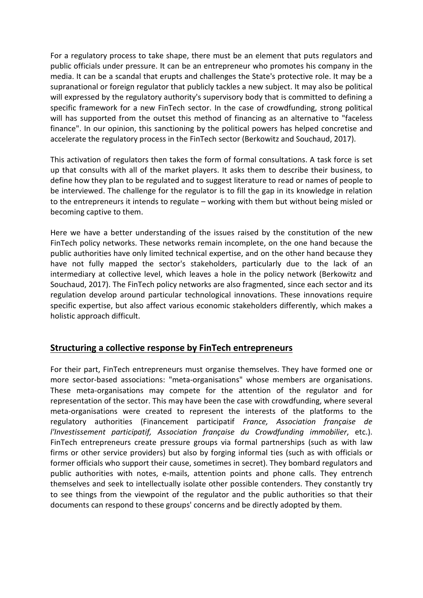For a regulatory process to take shape, there must be an element that puts regulators and public officials under pressure. It can be an entrepreneur who promotes his company in the media. It can be a scandal that erupts and challenges the State's protective role. It may be a supranational or foreign regulator that publicly tackles a new subject. It may also be political will expressed by the regulatory authority's supervisory body that is committed to defining a specific framework for a new FinTech sector. In the case of crowdfunding, strong political will has supported from the outset this method of financing as an alternative to "faceless finance". In our opinion, this sanctioning by the political powers has helped concretise and accelerate the regulatory process in the FinTech sector (Berkowitz and Souchaud, 2017).

This activation of regulators then takes the form of formal consultations. A task force is set up that consults with all of the market players. It asks them to describe their business, to define how they plan to be regulated and to suggest literature to read or names of people to be interviewed. The challenge for the regulator is to fill the gap in its knowledge in relation to the entrepreneurs it intends to regulate – working with them but without being misled or becoming captive to them.

Here we have a better understanding of the issues raised by the constitution of the new FinTech policy networks. These networks remain incomplete, on the one hand because the public authorities have only limited technical expertise, and on the other hand because they have not fully mapped the sector's stakeholders, particularly due to the lack of an intermediary at collective level, which leaves a hole in the policy network (Berkowitz and Souchaud, 2017). The FinTech policy networks are also fragmented, since each sector and its regulation develop around particular technological innovations. These innovations require specific expertise, but also affect various economic stakeholders differently, which makes a holistic approach difficult.

### **Structuring a collective response by FinTech entrepreneurs**

For their part, FinTech entrepreneurs must organise themselves. They have formed one or more sector-based associations: "meta-organisations" whose members are organisations. These meta-organisations may compete for the attention of the regulator and for representation of the sector. This may have been the case with crowdfunding, where several meta-organisations were created to represent the interests of the platforms to the regulatory authorities (Financement participatif *France, Association française de l'Investissement participatif, Association française du Crowdfunding immobilier*, etc.). FinTech entrepreneurs create pressure groups via formal partnerships (such as with law firms or other service providers) but also by forging informal ties (such as with officials or former officials who support their cause, sometimes in secret). They bombard regulators and public authorities with notes, e-mails, attention points and phone calls. They entrench themselves and seek to intellectually isolate other possible contenders. They constantly try to see things from the viewpoint of the regulator and the public authorities so that their documents can respond to these groups' concerns and be directly adopted by them.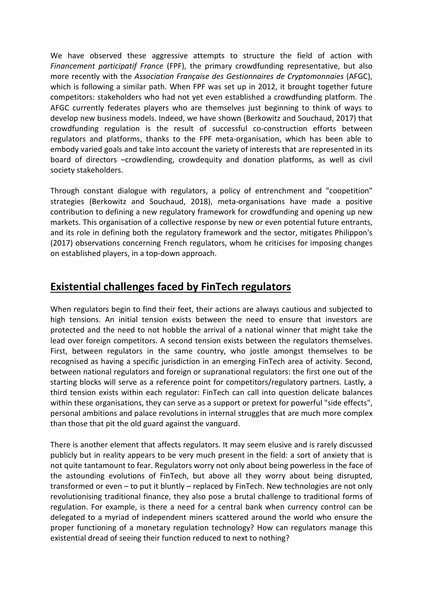We have observed these aggressive attempts to structure the field of action with *Financement participatif France* (FPF), the primary crowdfunding representative, but also more recently with the *Association Française des Gestionnaires de Cryptomonnaies* (AFGC), which is following a similar path. When FPF was set up in 2012, it brought together future competitors: stakeholders who had not yet even established a crowdfunding platform. The AFGC currently federates players who are themselves just beginning to think of ways to develop new business models. Indeed, we have shown (Berkowitz and Souchaud, 2017) that crowdfunding regulation is the result of successful co-construction efforts between regulators and platforms, thanks to the FPF meta-organisation, which has been able to embody varied goals and take into account the variety of interests that are represented in its board of directors –crowdlending, crowdequity and donation platforms, as well as civil society stakeholders.

Through constant dialogue with regulators, a policy of entrenchment and "coopetition" strategies (Berkowitz and Souchaud, 2018), meta-organisations have made a positive contribution to defining a new regulatory framework for crowdfunding and opening up new markets. This organisation of a collective response by new or even potential future entrants, and its role in defining both the regulatory framework and the sector, mitigates Philippon's (2017) observations concerning French regulators, whom he criticises for imposing changes on established players, in a top-down approach.

# **Existential challenges faced by FinTech regulators**

When regulators begin to find their feet, their actions are always cautious and subjected to high tensions. An initial tension exists between the need to ensure that investors are protected and the need to not hobble the arrival of a national winner that might take the lead over foreign competitors. A second tension exists between the regulators themselves. First, between regulators in the same country, who jostle amongst themselves to be recognised as having a specific jurisdiction in an emerging FinTech area of activity. Second, between national regulators and foreign or supranational regulators: the first one out of the starting blocks will serve as a reference point for competitors/regulatory partners. Lastly, a third tension exists within each regulator: FinTech can call into question delicate balances within these organisations, they can serve as a support or pretext for powerful "side effects", personal ambitions and palace revolutions in internal struggles that are much more complex than those that pit the old guard against the vanguard.

There is another element that affects regulators. It may seem elusive and is rarely discussed publicly but in reality appears to be very much present in the field: a sort of anxiety that is not quite tantamount to fear. Regulators worry not only about being powerless in the face of the astounding evolutions of FinTech, but above all they worry about being disrupted, transformed or even – to put it bluntly – replaced by FinTech. New technologies are not only revolutionising traditional finance, they also pose a brutal challenge to traditional forms of regulation. For example, is there a need for a central bank when currency control can be delegated to a myriad of independent miners scattered around the world who ensure the proper functioning of a monetary regulation technology? How can regulators manage this existential dread of seeing their function reduced to next to nothing?